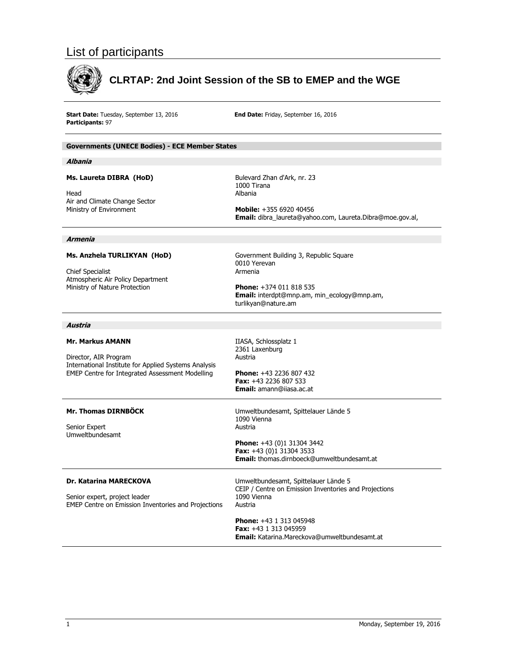# List of participants



# **CLRTAP: 2nd Joint Session of the SB to EMEP and the WGE**

Start Date: Tuesday, September 13, 2016 **Participants:**  97

**End Date:** Friday, September 16, 2016

## **Governments (UNECE Bodies) - ECE Member States**

#### **Albania**

## **Ms. Laureta DIBRA (HoD)**

Head Air and Climate Change Sector Ministry of Environment

Bulevard Zha an d'Ark, nr. 23 1000 Tirana Albania

**Mobile:** +35 55 6920 40456 Bulevard Zhan d'Ark, nr. 23<br>1000 Tirana<br>Albania<br>**Mobile:** +355 6920 40456<br>**Email:** dibra\_laureta@yahoo.com, Laureta.Dibra@moe.gov.al,

#### **Armenia**

#### **Ms. Anzhela a TURLIKYAN (HoD)**

Chief Speciali st Atmospheric Air Policy Department Ministry of Nature Protection

Government Building 3, Rep public Square 0010 Yerevan Armenia 0010 Yerevan<br>Armenia<br>**Phone:** +374 011 818 535

**Email:** interdpt@mnp.am, min\_ecology@mnp.am, turlikyan@na ature.am

#### **Austria**

#### **Mr. Markus AMANN**

Director, AIR Program International Institute for Applied Systems Analysis EMEP Centre for Integrated Assessment M Modelling npplied Systems

IIASA, Schlossplatz 1 2361 Laxenb urg Austria

**Phone:** +43 2236 807 432 **Fax:** +43 22 36 807 533 Email: amann@iiasa.ac.at

## **Mr. Thomas DIRNBÖCK**

Senior Expert Senior Expert<br>Umweltbundesamt

Umweltbunde esamt, Spittela auer Lände 5 1090 Vienna Austria

**Phone:** +43 (0)1 31304 3442 **Fax:** +43 (0) )1 31304 3533 **Email:** thom as.dirnboeck@ @umweltbundes samt.at

## Dr. Katarina MARECKOVA

Senior expert, project leader EMEP Centre on Emission Inventories and Projections

Umweltbundesamt, Spittelauer Lände 5 CEIP / Centre on Emission Inventories and Projections 1090 Vienna Austria

**Phone:** +43 1 313 045948 **Fax:** +43 1 3 313 045959 **Phone:** +43 1 313 045948<br>**Fax:** +43 1 313 045959<br>**Email:** Katarina.Mareckova@umweltbundesamt.at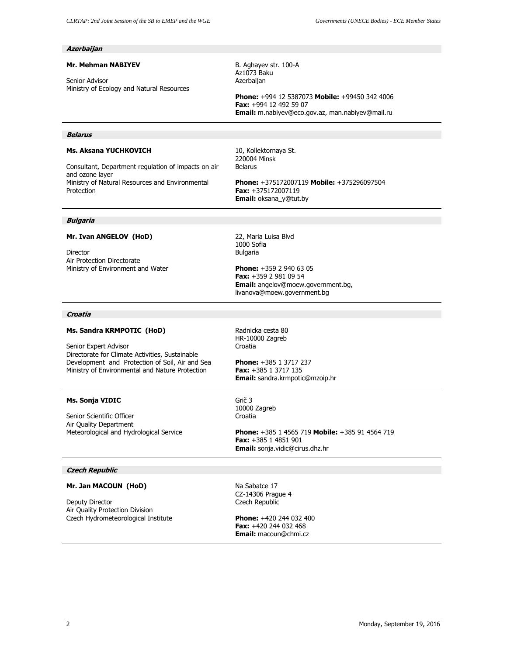## **Azerbaijan**

#### **Mr. Mehman NABIYEV**

Senior Advisor Ministry of Ecology and Natural Resources B. Aghayev str. 100-A Az1073 Baku Azerbaijan

**Phone:** +994 12 5387073 **Mobile:** +99450 342 4006 **Fax:** +994 12 492 59 07 **Email:** m.nabiyev@eco.gov.az, man.nabiyev@mail.ru

#### **Belarus**

## **Ms. Aksana YUCHKOVICH**

Consultant, Department regulation of impacts on air and ozone layer Ministry of Natural Resources and Environmental Protection

10, Kollektornaya St. 220004 Minsk Belarus

**Phone:** +375172007119 **Mobile:** +375296097504 **Fax:** +375172007119 **Email:** oksana\_y@tut.by

#### **Bulgaria**

## **Mr. Ivan ANGELOV (HoD)**

Director Air Protection Directorate Ministry of Environment and Water 22, Maria Luisa Blvd 1000 Sofia Bulgaria

**Phone:** +359 2 940 63 05 **Fax:** +359 2 981 09 54 **Email:** angelov@moew.government.bg, livanova@moew.government.bg

## **Croatia**

#### **Ms. Sandra KRMPOTIC (HoD)**

Senior Expert Advisor Directorate for Climate Activities, Sustainable Development and Protection of Soil, Air and Sea Ministry of Environmental and Nature Protection

# Radnicka cesta 80 HR-10000 Zagreb Croatia

**Phone:** +385 1 3717 237 **Fax:** +385 1 3717 135 **Email:** sandra.krmpotic@mzoip.hr

## **Ms. Sonja VIDIC**

Senior Scientific Officer Air Quality Department Meteorological and Hydrological Service Grič 3 10000 Zagreb Croatia

**Phone:** +385 1 4565 719 **Mobile:** +385 91 4564 719 **Fax:** +385 1 4851 901 **Email:** sonja.vidic@cirus.dhz.hr

## **Czech Republic**

## **Mr. Jan MACOUN (HoD)**

Deputy Director Air Quality Protection Division Czech Hydrometeorological Institute Na Sabatce 17 CZ-14306 Prague 4 Czech Republic

**Phone:** +420 244 032 400 **Fax:** +420 244 032 468 **Email:** macoun@chmi.cz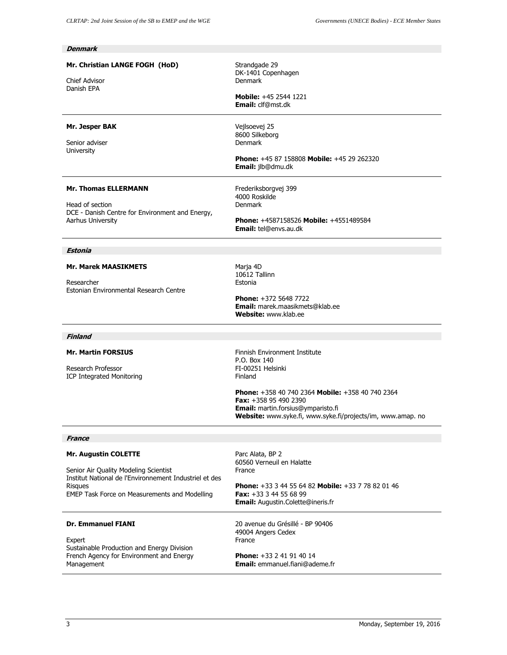| <b>Denmark</b>                                                                                                                                                                             |                                                                                                                                                                                                                                                                                 |
|--------------------------------------------------------------------------------------------------------------------------------------------------------------------------------------------|---------------------------------------------------------------------------------------------------------------------------------------------------------------------------------------------------------------------------------------------------------------------------------|
| Mr. Christian LANGE FOGH (HoD)<br><b>Chief Advisor</b><br>Danish EPA                                                                                                                       | Strandgade 29<br>DK-1401 Copenhagen<br>Denmark<br><b>Mobile:</b> +45 2544 1221<br><b>Email:</b> clf@mst.dk                                                                                                                                                                      |
| Mr. Jesper BAK<br>Senior adviser<br><b>University</b>                                                                                                                                      | Vejlsoevej 25<br>8600 Silkeborg<br>Denmark<br><b>Phone: +45 87 158808 Mobile: +45 29 262320</b><br><b>Email:</b> jlb@dmu.dk                                                                                                                                                     |
| <b>Mr. Thomas ELLERMANN</b><br>Head of section<br>DCE - Danish Centre for Environment and Energy,<br>Aarhus University                                                                     | Frederiksborgvej 399<br>4000 Roskilde<br>Denmark<br><b>Phone: +4587158526 Mobile: +4551489584</b><br>Email: tel@envs.au.dk                                                                                                                                                      |
| Estonia                                                                                                                                                                                    |                                                                                                                                                                                                                                                                                 |
| <b>Mr. Marek MAASIKMETS</b><br>Researcher<br>Estonian Environmental Research Centre                                                                                                        | Marja 4D<br>10612 Tallinn<br>Estonia<br><b>Phone: +372 5648 7722</b><br><b>Email:</b> marek.maasikmets@klab.ee<br><b>Website:</b> www.klab.ee                                                                                                                                   |
| Finland                                                                                                                                                                                    |                                                                                                                                                                                                                                                                                 |
| <b>Mr. Martin FORSIUS</b><br>Research Professor<br><b>ICP Integrated Monitoring</b>                                                                                                        | Finnish Environment Institute<br>P.O. Box 140<br>FI-00251 Helsinki<br>Finland<br>Phone: +358 40 740 2364 Mobile: +358 40 740 2364<br><b>Fax:</b> $+358$ 95 490 2390<br><b>Email:</b> martin.forsius@ymparisto.fi<br>Website: www.syke.fi, www.syke.fi/projects/im, www.amap. no |
| <b>France</b>                                                                                                                                                                              |                                                                                                                                                                                                                                                                                 |
| Mr. Augustin COLETTE<br>Senior Air Quality Modeling Scientist<br>Institut National de l'Environnement Industriel et des<br><b>Risques</b><br>EMEP Task Force on Measurements and Modelling | Parc Alata, BP 2<br>60560 Verneuil en Halatte<br>France<br>Phone: +33 3 44 55 64 82 Mobile: +33 7 78 82 01 46<br><b>Fax:</b> $+33$ 3 44 55 68 99<br><b>Email:</b> Augustin.Colette@ineris.fr                                                                                    |
| <b>Dr. Emmanuel FIANI</b><br>Expert<br>Sustainable Production and Energy Division<br>French Agency for Environment and Energy<br>Management                                                | 20 avenue du Grésillé - BP 90406<br>49004 Angers Cedex<br>France<br><b>Phone:</b> $+33$ 2 41 91 40 14<br><b>Email:</b> emmanuel.fiani@ademe.fr                                                                                                                                  |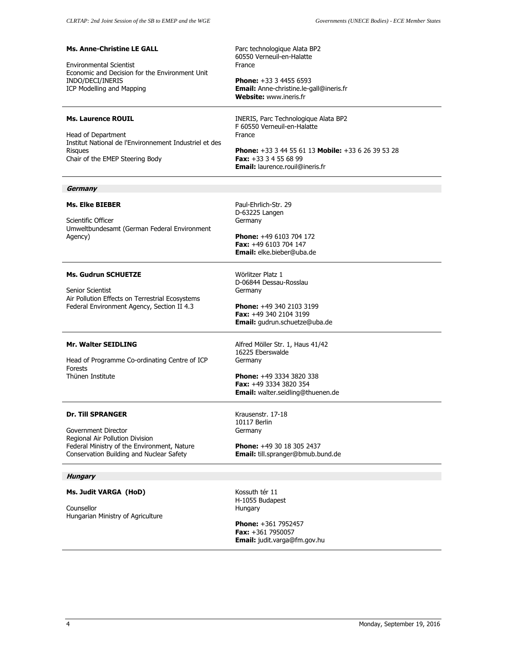| <b>Ms. Anne-Christine LE GALL</b><br><b>Environmental Scientist</b><br>Economic and Decision for the Environment Unit<br>INDO/DECI/INERIS<br>ICP Modelling and Mapping        | Parc technologique Alata BP2<br>60550 Verneuil-en-Halatte<br>France<br><b>Phone:</b> $+33$ 3 4455 6593<br><b>Email:</b> Anne-christine.le-gall@ineris.fr<br><b>Website: www.ineris.fr</b>                              |
|-------------------------------------------------------------------------------------------------------------------------------------------------------------------------------|------------------------------------------------------------------------------------------------------------------------------------------------------------------------------------------------------------------------|
| <b>Ms. Laurence ROUIL</b><br>Head of Department<br>Institut National de l'Environnement Industriel et des<br><b>Risques</b><br>Chair of the EMEP Steering Body                | INERIS, Parc Technologique Alata BP2<br>F 60550 Verneuil-en-Halatte<br>France<br><b>Phone:</b> $+33$ 3 44 55 61 13 <b>Mobile:</b> $+33$ 6 26 39 53 28<br>Fax: $+33334556899$<br><b>Email:</b> laurence.rouil@ineris.fr |
| Germany                                                                                                                                                                       |                                                                                                                                                                                                                        |
| <b>Ms. Elke BIEBER</b><br>Scientific Officer<br>Umweltbundesamt (German Federal Environment<br>Agency)                                                                        | Paul-Ehrlich-Str. 29<br>D-63225 Langen<br>Germany<br><b>Phone:</b> $+496103704172$<br>Fax: +49 6103 704 147<br>Email: elke.bieber@uba.de                                                                               |
| <b>Ms. Gudrun SCHUETZE</b><br>Senior Scientist<br>Air Pollution Effects on Terrestrial Ecosystems<br>Federal Environment Agency, Section II 4.3                               | Wörlitzer Platz 1<br>D-06844 Dessau-Rosslau<br>Germany<br>Phone: +49 340 2103 3199<br>Fax: +49 340 2104 3199<br>Email: gudrun.schuetze@uba.de                                                                          |
| <b>Mr. Walter SEIDLING</b><br>Head of Programme Co-ordinating Centre of ICP<br><b>Forests</b><br>Thünen Institute                                                             | Alfred Möller Str. 1, Haus 41/42<br>16225 Eberswalde<br>Germany<br>Phone: +49 3334 3820 338<br>Fax: +49 3334 3820 354<br>Email: walter.seidling@thuenen.de                                                             |
| <b>Dr. Till SPRANGER</b><br>Government Director<br>Regional Air Pollution Division<br>Federal Ministry of the Environment, Nature<br>Conservation Building and Nuclear Safety | Krausenstr. 17-18<br>10117 Berlin<br>Germany<br><b>Phone:</b> +49 30 18 305 2437<br>Email: till.spranger@bmub.bund.de                                                                                                  |
| <b>Hungary</b>                                                                                                                                                                |                                                                                                                                                                                                                        |
| Ms. Judit VARGA (HoD)<br>Counsellor<br>Hungarian Ministry of Agriculture                                                                                                      | Kossuth tér 11<br>H-1055 Budapest<br>Hungary<br>Phone: +361 7952457<br><b>Fax:</b> $+361$ 7950057<br>Email: judit.varga@fm.gov.hu                                                                                      |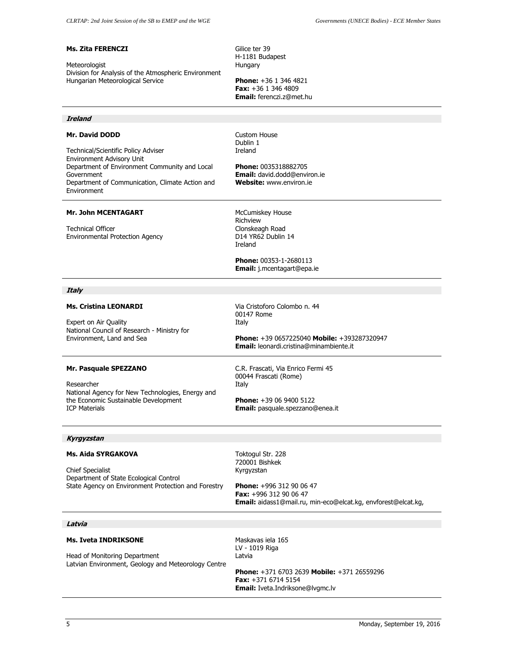#### **Ms. Zita FERENCZI**

Meteorologist Division for Analysis of the Atmospheric Environment Hungarian Meteorological Service

Gilice ter 39 H-1181 Budapest Hungary

**Phone:** +36 1 346 4821 **Fax:** +36 1 346 4809 **Email:** ferenczi.z@met.hu

## **Ireland**

#### **Mr. David DODD**

Technical/Scientific Policy Adviser Environment Advisory Unit Department of Environment Community and Local Government Department of Communication, Climate Action and Environment

Custom House Dublin 1 Ireland

**Phone:** 0035318882705 **Email:** david.dodd@environ.ie **Website:** www.environ.ie

#### **Mr. John MCENTAGART**

Technical Officer Environmental Protection Agency McCumiskey House Richview Clonskeagh Road D14 YR62 Dublin 14 Ireland

**Phone:** 00353-1-2680113 **Email:** j.mcentagart@epa.ie

## **Italy**

#### **Ms. Cristina LEONARDI**

Expert on Air Quality National Council of Research - Ministry for Environment, Land and Sea

Via Cristoforo Colombo n. 44 00147 Rome Italy

**Phone:** +39 0657225040 **Mobile:** +393287320947 **Email:** leonardi.cristina@minambiente.it

#### **Mr. Pasquale SPEZZANO**

Researcher National Agency for New Technologies, Energy and the Economic Sustainable Development ICP Materials

C.R. Frascati, Via Enrico Fermi 45 00044 Frascati (Rome) Italy

**Phone:** +39 06 9400 5122 **Email:** pasquale.spezzano@enea.it

#### **Kyrgyzstan**

#### **Ms. Aida SYRGAKOVA**

Chief Specialist Department of State Ecological Control State Agency on Environment Protection and Forestry Toktogul Str. 228 720001 Bishkek Kyrgyzstan

**Phone:** +996 312 90 06 47 **Fax:** +996 312 90 06 47 **Email:** aidass1@mail.ru, min-eco@elcat.kg, envforest@elcat.kg,

#### **Latvia**

## **Ms. Iveta INDRIKSONE**

Head of Monitoring Department Latvian Environment, Geology and Meteorology Centre Maskavas iela 165 LV - 1019 Riga Latvia

**Phone:** +371 6703 2639 **Mobile:** +371 26559296 **Fax:** +371 6714 5154 **Email:** Iveta.Indriksone@lvgmc.lv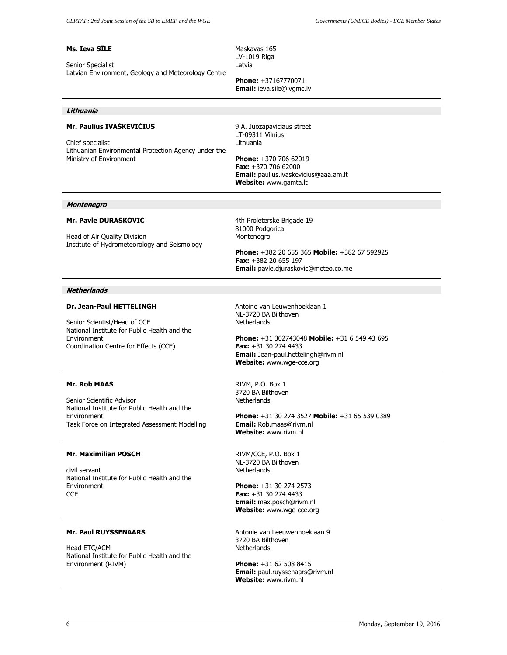## **Ms. Ieva SĪLE**

Senior Specialist Latvian Environment, Geology and Meteorology Centre Maskavas 165 LV-1019 Riga Latvia

**Phone:** +37167770071 **Email:** ieva.sile@lvgmc.lv

#### **Lithuania**

## **Mr. Paulius IVAŠKEVIČIUS**

Chief specialist Lithuanian Environmental Protection Agency under the Ministry of Environment

9 A. Juozapaviciaus street LT-09311 Vilnius Lithuania

**Phone:** +370 706 62019 **Fax:** +370 706 62000 **Email:** paulius.ivaskevicius@aaa.am.lt **Website:** www.gamta.lt

#### **Montenegro**

#### **Mr. Pavle DURASKOVIC**

Head of Air Quality Division Institute of Hydrometeorology and Seismology 4th Proleterske Brigade 19 81000 Podgorica Montenegro

**Phone:** +382 20 655 365 **Mobile:** +382 67 592925 **Fax:** +382 20 655 197 **Email:** pavle.djuraskovic@meteo.co.me

#### **Netherlands**

#### **Dr. Jean-Paul HETTELINGH**

Senior Scientist/Head of CCE National Institute for Public Health and the Environment Coordination Centre for Effects (CCE)

Antoine van Leuwenhoeklaan 1 NL-3720 BA Bilthoven Netherlands

**Phone:** +31 302743048 **Mobile:** +31 6 549 43 695 **Fax:** +31 30 274 4433 **Email:** Jean-paul.hettelingh@rivm.nl **Website:** www.wge-cce.org

## **Mr. Rob MAAS**

Senior Scientific Advisor National Institute for Public Health and the Environment Task Force on Integrated Assessment Modelling

#### **Mr. Maximilian POSCH**

civil servant National Institute for Public Health and the Environment **CCE** 

RIVM, P.O. Box 1 3720 BA Bilthoven Netherlands

**Phone:** +31 30 274 3527 **Mobile:** +31 65 539 0389 **Email:** Rob.maas@rivm.nl **Website:** www.rivm.nl

RIVM/CCE, P.O. Box 1 NL-3720 BA Bilthoven **Netherlands** 

**Phone:** +31 30 274 2573 **Fax:** +31 30 274 4433 **Email:** max.posch@rivm.nl **Website:** www.wge-cce.org

#### **Mr. Paul RUYSSENAARS**

Head ETC/ACM National Institute for Public Health and the Environment (RIVM)

Antonie van Leeuwenhoeklaan 9 3720 BA Bilthoven **Netherlands** 

**Phone:** +31 62 508 8415 **Email:** paul.ruyssenaars@rivm.nl **Website:** www.rivm.nl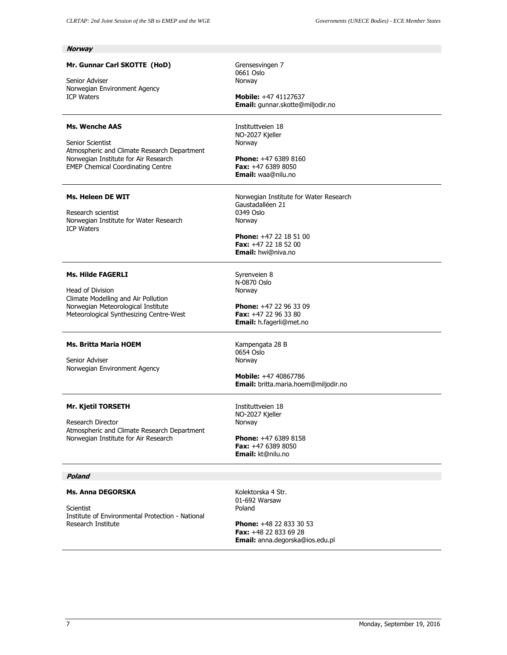| <b>Norway</b>                                                                                                                                                                |                                                                                                                                                                    |
|------------------------------------------------------------------------------------------------------------------------------------------------------------------------------|--------------------------------------------------------------------------------------------------------------------------------------------------------------------|
| Mr. Gunnar Carl SKOTTE (HoD)<br>Senior Adviser<br>Norwegian Environment Agency<br><b>ICP Waters</b>                                                                          | Grensesvingen 7<br>0661 Oslo<br>Norway<br><b>Mobile:</b> +47 41127637<br>Email: gunnar.skotte@miljodir.no                                                          |
| <b>Ms. Wenche AAS</b><br>Senior Scientist<br>Atmospheric and Climate Research Department<br>Norwegian Institute for Air Research<br><b>EMEP Chemical Coordinating Centre</b> | Instituttyeien 18<br>NO-2027 Kjeller<br>Norway<br><b>Phone:</b> $+4763898160$<br><b>Fax:</b> $+4763898050$<br>Email: waa@nilu.no                                   |
| <b>Ms. Heleen DE WIT</b><br>Research scientist<br>Norwegian Institute for Water Research<br><b>ICP Waters</b>                                                                | Norwegian Institute for Water Research<br>Gaustadalléen 21<br>0349 Oslo<br>Norway<br>Phone: +47 22 18 51 00<br>Fax: $+47$ 22 18 52 00<br><b>Email:</b> hwi@niva.no |
| <b>Ms. Hilde FAGERLI</b><br>Head of Division<br>Climate Modelling and Air Pollution<br>Norwegian Meteorological Institute<br>Meteorological Synthesizing Centre-West         | Syrenveien 8<br>N-0870 Oslo<br>Norway<br><b>Phone:</b> $+47$ 22 96 33 09<br>Fax: +47 22 96 33 80<br>Email: h.fagerli@met.no                                        |
| <b>Ms. Britta Maria HOEM</b><br>Senior Adviser<br>Norwegian Environment Agency                                                                                               | Kampengata 28 B<br>0654 Oslo<br>Norway<br><b>Mobile:</b> +47 40867786<br>Email: britta.maria.hoem@miljodir.no                                                      |
| Mr. Kjetil TORSETH<br>Research Director<br>Atmospheric and Climate Research Department<br>Norwegian Institute for Air Research                                               | Instituttveien 18<br>NO-2027 Kjeller<br>Norway<br><b>Phone: +47 6389 8158</b><br><b>Fax:</b> $+4763898050$<br>Email: kt@nilu.no                                    |
| Poland                                                                                                                                                                       |                                                                                                                                                                    |
| Ms. Anna DEGORSKA<br>Scientist<br>Institute of Environmental Protection - National<br>Research Institute                                                                     | Kolektorska 4 Str.<br>01-692 Warsaw<br>Poland<br><b>Phone:</b> $+48$ 22 833 30 53<br><b>Fax:</b> +48 22 833 69 28                                                  |

**Email:** anna.degorska@ios.edu.pl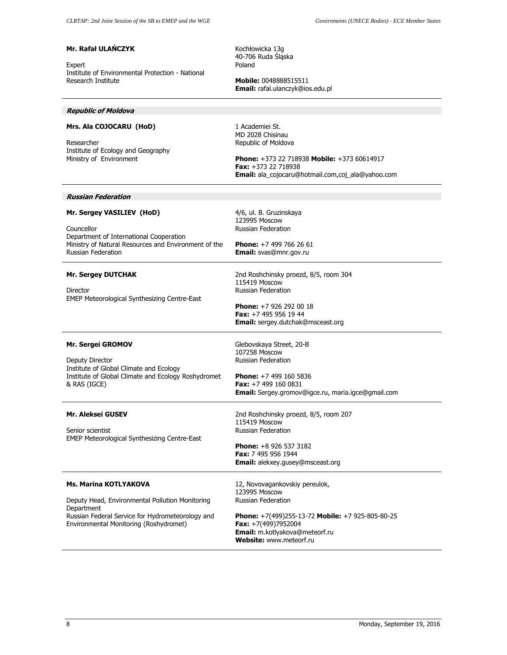## **Mr. Rafał ULAŃCZYK**

Expert Institute of Environmental Protection - National Research Institute

Kochłowicka 13g 40-706 Ruda Śląska Poland

**Mobile:** 0048888515511 **Email:** rafal.ulanczyk@ios.edu.pl

#### **Republic of Moldova**

## **Mrs. Ala COJOCARU (HoD)**

Researcher Institute of Ecology and Geography Ministry of Environment

1 Academiei St. MD 2028 Chisinau Republic of Moldova

4/6, ul. B. Gruzinskaya 123995 Moscow Russian Federation

**Phone:** +7 499 766 26 61 **Email:** svas@mnr.gov.ru

**Phone:** +373 22 718938 **Mobile:** +373 60614917 **Fax:** +373 22 718938 **Email:** ala\_cojocaru@hotmail.com,coj\_ala@yahoo.com

#### **Russian Federation**

## **Mr. Sergey VASILIEV (HoD)**

Councellor Department of International Cooperation Ministry of Natural Resources and Environment of the Russian Federation

#### **Mr. Sergey DUTCHAK**

Director EMEP Meteorological Synthesizing Centre-East 2nd Roshchinsky proezd, 8/5, room 304 115419 Moscow Russian Federation

**Phone:** +7 926 292 00 18 **Fax:** +7 495 956 19 44 **Email:** sergey.dutchak@msceast.org

## **Mr. Sergei GROMOV**

Deputy Director Institute of Global Climate and Ecology Institute of Global Climate and Ecology Roshydromet & RAS (IGCE)

#### **Mr. Aleksei GUSEV**

Senior scientist EMEP Meteorological Synthesizing Centre-East **Phone:** +7 499 160 5836 **Fax:** +7 499 160 0831 **Email:** Sergey.gromov@igce.ru, maria.igce@gmail.com

Glebovskaya Street, 20-B 107258 Moscow Russian Federation

2nd Roshchinsky proezd, 8/5, room 207 115419 Moscow Russian Federation

**Phone:** +8 926 537 3182 **Fax:** 7 495 956 1944 **Email:** alekxey.gusey@msceast.org

#### **Ms. Marina KOTLYAKOVA**

Deputy Head, Environmental Pollution Monitoring Department Russian Federal Service for Hydrometeorology and Environmental Monitoring (Roshydromet)

12, Novovagankovskiy pereulok, 123995 Moscow Russian Federation

**Phone:** +7(499)255-13-72 **Mobile:** +7 925-805-80-25 **Fax:** +7(499)7952004 **Email:** m.kotlyakova@meteorf.ru **Website:** www.meteorf.ru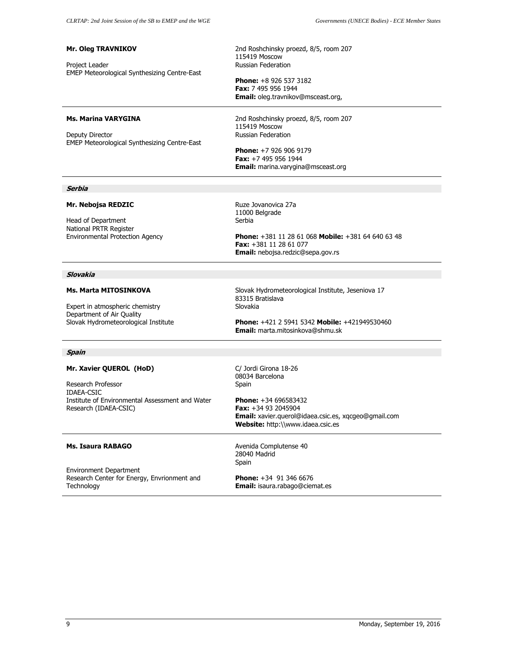## **Mr. Oleg TRAVNIKOV**

Project Leader EMEP Meteorological Synthesizing Centre-East 2nd Roshchinsky proezd, 8/5, room 207 115419 Moscow Russian Federation

**Phone:** +8 926 537 3182 **Fax:** 7 495 956 1944 **Email:** oleg.travnikov@msceast.org,

#### **Ms. Marina VARYGINA**

Deputy Director EMEP Meteorological Synthesizing Centre-East 2nd Roshchinsky proezd, 8/5, room 207 115419 Moscow Russian Federation

**Phone:** +7 926 906 9179 **Fax:** +7 495 956 1944 **Email:** marina.varygina@msceast.org

#### **Serbia**

## **Mr. Nebojsa REDZIC**

Head of Department National PRTR Register Environmental Protection Agency Ruze Jovanovica 27a 11000 Belgrade Serbia

**Phone:** +381 11 28 61 068 **Mobile:** +381 64 640 63 48 **Fax:** +381 11 28 61 077 **Email:** nebojsa.redzic@sepa.gov.rs

#### **Slovakia**

#### **Ms. Marta MITOSINKOVA**

Expert in atmospheric chemistry Department of Air Quality Slovak Hydrometeorological Institute Slovak Hydrometeorological Institute, Jeseniova 17 83315 Bratislava Slovakia

**Phone:** +421 2 5941 5342 **Mobile:** +421949530460 **Email:** marta.mitosinkova@shmu.sk

#### **Spain**

## **Mr. Xavier QUEROL (HoD)**

Research Professor IDAEA-CSIC Institute of Environmental Assessment and Water Research (IDAEA-CSIC)

C/ Jordi Girona 18-26 08034 Barcelona Spain

**Phone:** +34 696583432 **Fax:** +34 93 2045904 **Email:** xavier.querol@idaea.csic.es, xqcgeo@gmail.com **Website:** http:\\www.idaea.csic.es

#### **Ms. Isaura RABAGO**

Environment Department Research Center for Energy, Envrionment and **Technology** 

28040 Madrid Spain

Avenida Complutense 40

**Phone:** +34 91 346 6676 **Email:** isaura.rabago@ciemat.es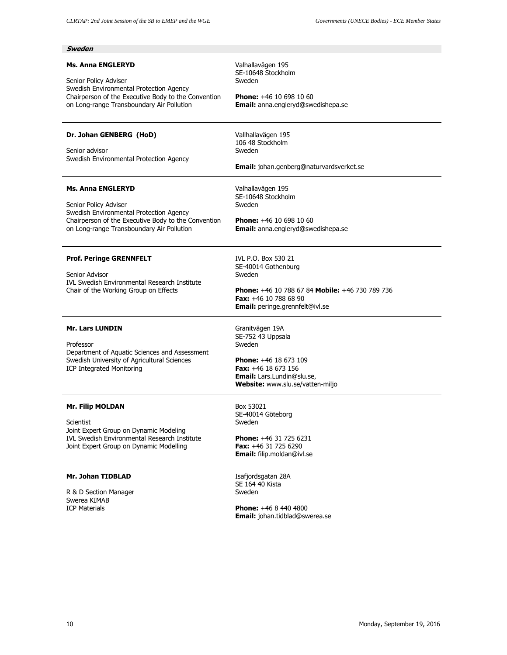| Sweden                                                                                                                                                                                           |                                                                                                                                                                                                |
|--------------------------------------------------------------------------------------------------------------------------------------------------------------------------------------------------|------------------------------------------------------------------------------------------------------------------------------------------------------------------------------------------------|
| <b>Ms. Anna ENGLERYD</b><br>Senior Policy Adviser<br>Swedish Environmental Protection Agency<br>Chairperson of the Executive Body to the Convention<br>on Long-range Transboundary Air Pollution | Valhallavägen 195<br>SE-10648 Stockholm<br>Sweden<br><b>Phone:</b> $+46$ 10 698 10 60<br>Email: anna.engleryd@swedishepa.se                                                                    |
| Dr. Johan GENBERG (HoD)<br>Senior advisor<br>Swedish Environmental Protection Agency                                                                                                             | Vallhallavägen 195<br>106 48 Stockholm<br>Sweden<br><b>Email:</b> johan.genberg@naturvardsverket.se                                                                                            |
| <b>Ms. Anna ENGLERYD</b><br>Senior Policy Adviser<br>Swedish Environmental Protection Agency<br>Chairperson of the Executive Body to the Convention<br>on Long-range Transboundary Air Pollution | Valhallavägen 195<br>SE-10648 Stockholm<br>Sweden<br><b>Phone:</b> $+46$ 10 698 10 60<br>Email: anna.engleryd@swedishepa.se                                                                    |
| <b>Prof. Peringe GRENNFELT</b><br>Senior Advisor<br><b>IVL Swedish Environmental Research Institute</b><br>Chair of the Working Group on Effects                                                 | IVL P.O. Box 530 21<br>SE-40014 Gothenburg<br>Sweden<br><b>Phone:</b> $+46$ 10 788 67 84 <b>Mobile:</b> $+46$ 730 789 736<br><b>Fax:</b> $+46$ 10 788 68 90<br>Email: peringe.grennfelt@ivl.se |
| <b>Mr. Lars LUNDIN</b><br>Professor<br>Department of Aquatic Sciences and Assessment<br>Swedish University of Agricultural Sciences<br><b>ICP Integrated Monitoring</b>                          | Granitvägen 19A<br>SE-752 43 Uppsala<br>Sweden<br><b>Phone:</b> $+46$ 18 673 109<br>Fax: +46 18 673 156<br><b>Email:</b> Lars.Lundin@slu.se,<br>Website: www.slu.se/vatten-miljo               |
| <b>Mr. Filip MOLDAN</b><br>Scientist<br>Joint Expert Group on Dynamic Modeling<br><b>IVL Swedish Environmental Research Institute</b><br>Joint Expert Group on Dynamic Modelling                 | Box 53021<br>SE-40014 Göteborg<br>Sweden<br><b>Phone:</b> $+46$ 31 725 6231<br><b>Fax:</b> $+46$ 31 725 6290<br>Email: filip.moldan@ivl.se                                                     |
| Mr. Johan TIDBLAD<br>R & D Section Manager<br>Swerea KIMAB<br><b>ICP Materials</b>                                                                                                               | Isafjordsgatan 28A<br>SE 164 40 Kista<br>Sweden<br><b>Phone:</b> $+4684404800$<br>Email: johan.tidblad@swerea.se                                                                               |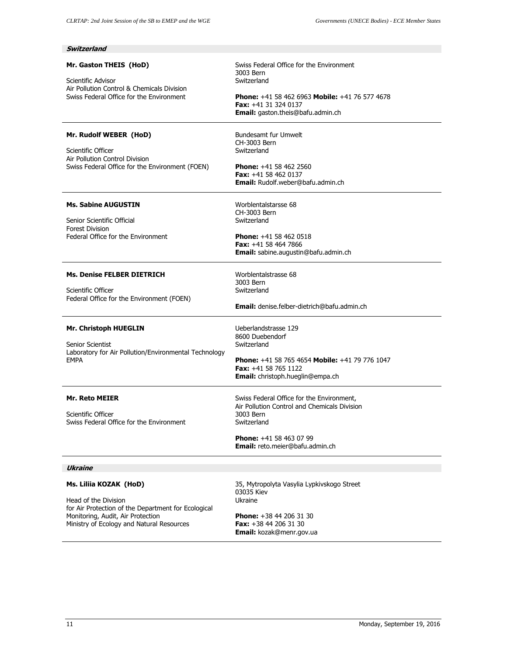| Switzerland                                                                                                                                                                             |                                                                                                                                                                                                 |
|-----------------------------------------------------------------------------------------------------------------------------------------------------------------------------------------|-------------------------------------------------------------------------------------------------------------------------------------------------------------------------------------------------|
| Mr. Gaston THEIS (HoD)<br>Scientific Advisor<br>Air Pollution Control & Chemicals Division<br>Swiss Federal Office for the Environment                                                  | Swiss Federal Office for the Environment<br>3003 Bern<br>Switzerland                                                                                                                            |
|                                                                                                                                                                                         | <b>Phone:</b> +41 58 462 6963 Mobile: +41 76 577 4678<br>Fax: +41 31 324 0137<br>Email: gaston.theis@bafu.admin.ch                                                                              |
| Mr. Rudolf WEBER (HoD)<br>Scientific Officer<br>Air Pollution Control Division<br>Swiss Federal Office for the Environment (FOEN)                                                       | Bundesamt fur Umwelt<br>CH-3003 Bern<br>Switzerland<br><b>Phone:</b> $+41$ 58 462 2560<br><b>Fax:</b> $+41$ 58 462 0137<br><b>Email:</b> Rudolf.weber@bafu.admin.ch                             |
| <b>Ms. Sabine AUGUSTIN</b><br>Senior Scientific Official<br><b>Forest Division</b><br>Federal Office for the Environment                                                                | Worblentalstarsse 68<br>CH-3003 Bern<br>Switzerland<br><b>Phone:</b> $+41$ 58 462 0518<br><b>Fax:</b> $+41$ 58 464 7866<br>Email: sabine.augustin@bafu.admin.ch                                 |
| <b>Ms. Denise FELBER DIETRICH</b><br>Scientific Officer<br>Federal Office for the Environment (FOEN)                                                                                    | Worblentalstrasse 68<br>3003 Bern<br>Switzerland<br>Email: denise.felber-dietrich@bafu.admin.ch                                                                                                 |
| Mr. Christoph HUEGLIN<br><b>Senior Scientist</b><br>Laboratory for Air Pollution/Environmental Technology<br><b>EMPA</b>                                                                | Ueberlandstrasse 129<br>8600 Duebendorf<br>Switzerland<br><b>Phone:</b> $+41$ 58 765 4654 <b>Mobile:</b> $+41$ 79 776 1047<br><b>Fax:</b> $+41$ 58 765 1122<br>Email: christoph.hueglin@empa.ch |
| <b>Mr. Reto MEIER</b><br>Scientific Officer<br>Swiss Federal Office for the Environment                                                                                                 | Swiss Federal Office for the Environment,<br>Air Pollution Control and Chemicals Division<br>3003 Bern<br>Switzerland<br>Phone: +41 58 463 07 99<br><b>Email:</b> reto.meier@bafu.admin.ch      |
| Ukraine                                                                                                                                                                                 |                                                                                                                                                                                                 |
| Ms. Liliia KOZAK (HoD)<br>Head of the Division<br>for Air Protection of the Department for Ecological<br>Monitoring, Audit, Air Protection<br>Ministry of Ecology and Natural Resources | 35, Mytropolyta Vasylia Lypkivskogo Street<br>03035 Kiev<br>Ukraine<br>Phone: +38 44 206 31 30<br>Fax: +38 44 206 31 30                                                                         |
|                                                                                                                                                                                         | Email: kozak@menr.gov.ua                                                                                                                                                                        |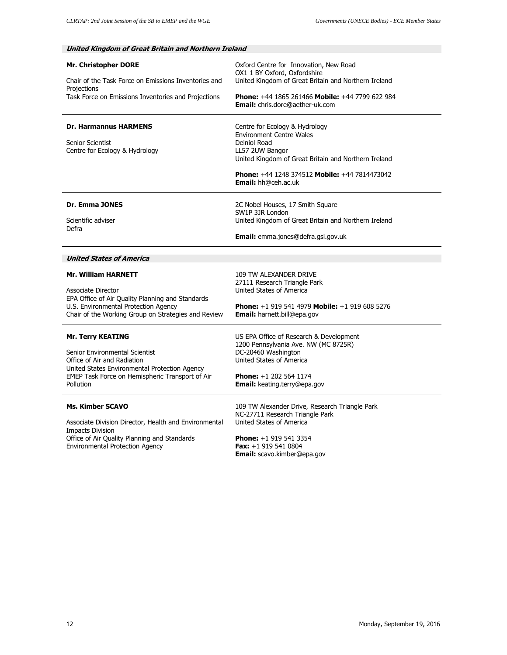| <b>Mr. Christopher DORE</b><br>Chair of the Task Force on Emissions Inventories and<br>Projections<br>Task Force on Emissions Inventories and Projections                                                  | Oxford Centre for Innovation, New Road<br>OX1 1 BY Oxford, Oxfordshire<br>United Kingdom of Great Britain and Northern Ireland<br>Phone: +44 1865 261466 Mobile: +44 7799 622 984<br><b>Email:</b> chris.dore@aether-uk.com                                   |
|------------------------------------------------------------------------------------------------------------------------------------------------------------------------------------------------------------|---------------------------------------------------------------------------------------------------------------------------------------------------------------------------------------------------------------------------------------------------------------|
| <b>Dr. Harmannus HARMENS</b><br>Senior Scientist<br>Centre for Ecology & Hydrology                                                                                                                         | Centre for Ecology & Hydrology<br><b>Environment Centre Wales</b><br>Deiniol Road<br>LL57 2UW Bangor<br>United Kingdom of Great Britain and Northern Ireland<br><b>Phone:</b> $+44$ 1248 374512 <b>Mobile:</b> $+44$ 7814473042<br><b>Email:</b> hh@ceh.ac.uk |
| Dr. Emma JONES<br>Scientific adviser<br>Defra                                                                                                                                                              | 2C Nobel Houses, 17 Smith Square<br>SW1P 3JR London<br>United Kingdom of Great Britain and Northern Ireland<br><b>Email:</b> emma.jones@defra.gsi.gov.uk                                                                                                      |
| <b>United States of America</b>                                                                                                                                                                            |                                                                                                                                                                                                                                                               |
| <b>Mr. William HARNETT</b><br><b>Associate Director</b><br>EPA Office of Air Quality Planning and Standards<br>U.S. Environmental Protection Agency<br>Chair of the Working Group on Strategies and Review | 109 TW ALEXANDER DRIVE<br>27111 Research Triangle Park<br>United States of America<br><b>Phone:</b> $+1$ 919 541 4979 <b>Mobile:</b> $+1$ 919 608 5276<br>Email: harnett.bill@epa.gov                                                                         |
| <b>Mr. Terry KEATING</b><br>Senior Environmental Scientist<br>Office of Air and Radiation<br>United States Environmental Protection Agency<br>EMEP Task Force on Hemispheric Transport of Air<br>Pollution | US EPA Office of Research & Development<br>1200 Pennsylvania Ave. NW (MC 8725R)<br>DC-20460 Washington<br>United States of America<br>Phone: +1 202 564 1174<br>Email: keating.terry@epa.gov                                                                  |
| <b>Ms. Kimber SCAVO</b><br>Associate Division Director, Health and Environmental<br><b>Impacts Division</b><br>Office of Air Quality Planning and Standards<br><b>Environmental Protection Agency</b>      | 109 TW Alexander Drive, Research Triangle Park<br>NC-27711 Research Triangle Park<br>United States of America<br>Phone: +1 919 541 3354<br>Fax: +1 919 541 0804<br><b>Email:</b> scavo.kimber@epa.gov                                                         |

# **United Kingdom of Great Britain and Northern Ireland**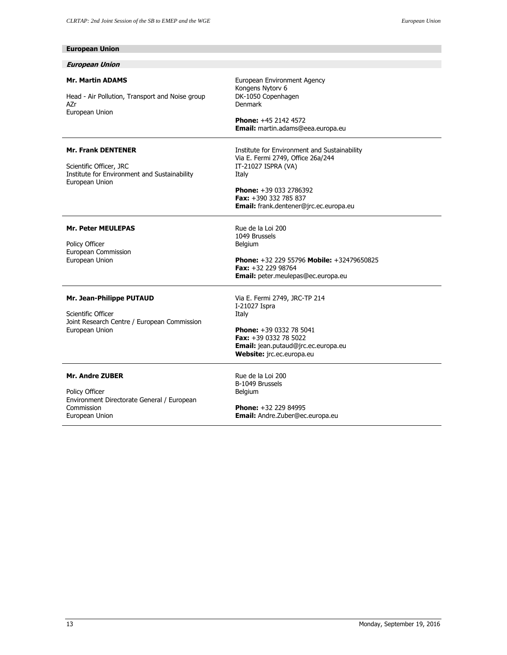| <b>European Union</b>                                                                                                  |                                                                                                                                                                                                                         |
|------------------------------------------------------------------------------------------------------------------------|-------------------------------------------------------------------------------------------------------------------------------------------------------------------------------------------------------------------------|
| <b>European Union</b>                                                                                                  |                                                                                                                                                                                                                         |
| <b>Mr. Martin ADAMS</b><br>Head - Air Pollution, Transport and Noise group<br>AZr<br>European Union                    | European Environment Agency<br>Kongens Nytorv 6<br>DK-1050 Copenhagen<br>Denmark<br><b>Phone:</b> +45 2142 4572<br>Email: martin.adams@eea.europa.eu                                                                    |
| <b>Mr. Frank DENTENER</b><br>Scientific Officer, JRC<br>Institute for Environment and Sustainability<br>European Union | Institute for Environment and Sustainability<br>Via E. Fermi 2749, Office 26a/244<br>IT-21027 ISPRA (VA)<br>Italy<br><b>Phone:</b> $+390332786392$<br>Fax: $+390$ 332 785 837<br>Email: frank.dentener@jrc.ec.europa.eu |
| <b>Mr. Peter MEULEPAS</b><br>Policy Officer<br>European Commission<br>European Union                                   | Rue de la Loi 200<br>1049 Brussels<br>Belgium<br>Phone: +32 229 55796 Mobile: +32479650825<br><b>Fax:</b> $+32$ 229 98764<br><b>Email:</b> peter.meulepas@ec.europa.eu                                                  |
| Mr. Jean-Philippe PUTAUD<br>Scientific Officer<br>Joint Research Centre / European Commission<br>European Union        | Via E. Fermi 2749, JRC-TP 214<br>I-21027 Ispra<br>Italy<br>Phone: +39 0332 78 5041<br><b>Fax:</b> $+39$ 0332 78 5022<br>Email: jean.putaud@jrc.ec.europa.eu<br>Website: jrc.ec.europa.eu                                |
| <b>Mr. Andre ZUBER</b><br>Policy Officer<br>Environment Directorate General / European<br>Commission<br>European Union | Rue de la Loi 200<br>B-1049 Brussels<br>Belgium<br><b>Phone:</b> +32 229 84995<br>Email: Andre.Zuber@ec.europa.eu                                                                                                       |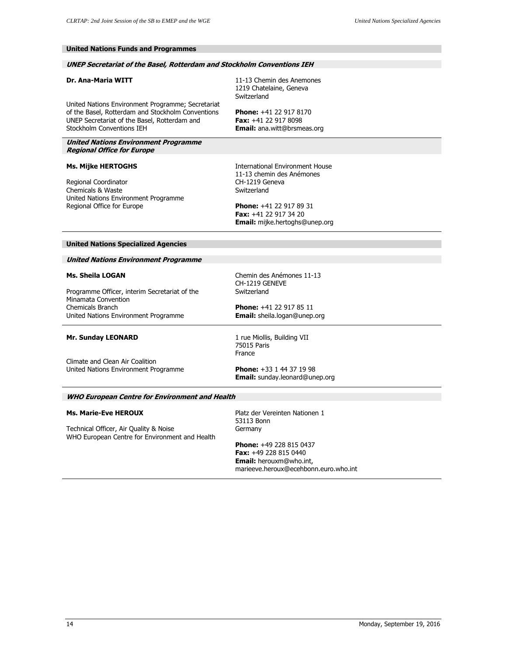## **United Nations Funds and Programmes**

## **UNEP Secretariat of the Basel, Rotterdam and Stockholm Conventions IEH**

## **Dr. Ana-Maria WITT**

11-13 Chemin des Anemones 1219 Chatelaine, Geneva Switzerland

**Phone:** +41 22 917 8170 **Fax:** +41 22 917 8098 **Email:** ana.witt@brsmeas.org

United Nations Environment Programme; Secretariat of the Basel, Rotterdam and Stockholm Conventions UNEP Secretariat of the Basel, Rotterdam and Stockholm Conventions IEH

**United Nations Environment Programme Regional Office for Europe** 

## **Ms. Mijke HERTOGHS**

Regional Coordinator Chemicals & Waste United Nations Environment Programme Regional Office for Europe

International Environment House 11-13 chemin des Anémones CH-1219 Geneva Switzerland

**Phone:** +41 22 917 89 31 **Fax:** +41 22 917 34 20 **Email:** mijke.hertoghs@unep.org

#### **United Nations Specialized Agencies**

#### **United Nations Environment Programme**

## **Ms. Sheila LOGAN**

Programme Officer, interim Secretariat of the Minamata Convention Chemicals Branch United Nations Environment Programme

Chemin des Anémones 11-13 CH-1219 GENEVE **Switzerland** 

**Mr. Sunday LEONARD** 

Climate and Clean Air Coalition United Nations Environment Programme 1 rue Miollis, Building VII 75015 Paris

France

**Phone:** +41 22 917 85 11 **Email:** sheila.logan@unep.org

**Phone:** +33 1 44 37 19 98 **Email:** sunday.leonard@unep.org

#### **WHO European Centre for Environment and Health**

#### **Ms. Marie-Eve HEROUX**

Technical Officer, Air Quality & Noise WHO European Centre for Environment and Health Platz der Vereinten Nationen 1 53113 Bonn Germany

**Phone:** +49 228 815 0437 **Fax:** +49 228 815 0440 **Email:** herouxm@who.int, marieeve.heroux@ecehbonn.euro.who.int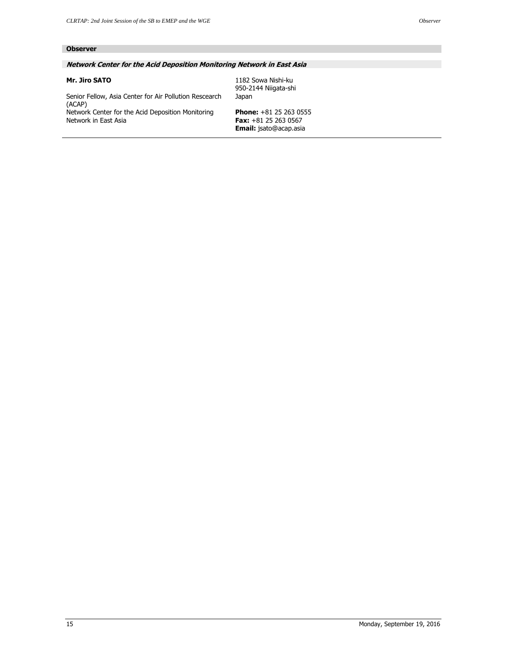# **Observer**

## **Network Center for the Acid Deposition Monitoring Network in East Asia**

## **Mr. Jiro SATO**

1182 Sowa Nishi-ku 950-2144 Niigata-shi Japan

Senior Fellow, Asia Center for Air Pollution Rescearch (ACAP) Network Center for the Acid Deposition Monitoring Network in East Asia

**Phone:** +81 25 263 0555 **Fax:** +81 25 263 0567 **Email:** jsato@acap.asia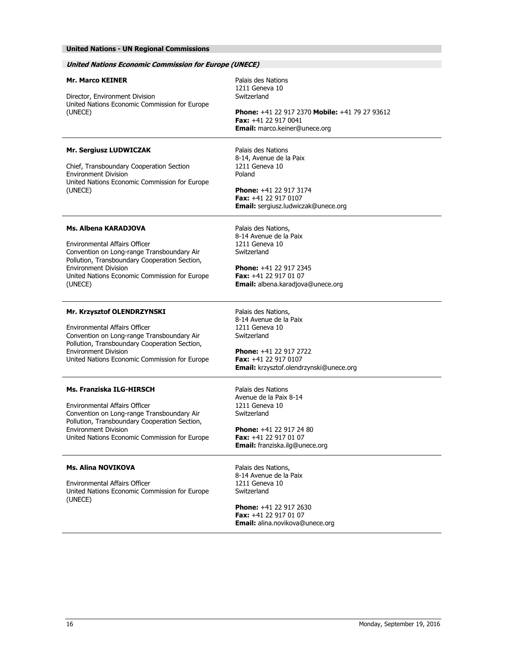# **United Nations - UN Regional Commissions**

| <b>United Nations Economic Commission for Europe (UNECE)</b>                                                                                                                                                                                      |                                                                                                                                                                                          |
|---------------------------------------------------------------------------------------------------------------------------------------------------------------------------------------------------------------------------------------------------|------------------------------------------------------------------------------------------------------------------------------------------------------------------------------------------|
| <b>Mr. Marco KEINER</b>                                                                                                                                                                                                                           | Palais des Nations<br>1211 Geneva 10<br>Switzerland                                                                                                                                      |
| Director, Environment Division<br>United Nations Economic Commission for Europe<br>(UNECE)                                                                                                                                                        | Phone: +41 22 917 2370 Mobile: +41 79 27 93612<br>Fax: +41 22 917 0041<br><b>Email:</b> marco.keiner@unece.org                                                                           |
| Mr. Sergiusz LUDWICZAK<br>Chief, Transboundary Cooperation Section<br><b>Environment Division</b><br>United Nations Economic Commission for Europe<br>(UNECE)                                                                                     | Palais des Nations<br>8-14, Avenue de la Paix<br>1211 Geneva 10<br>Poland<br><b>Phone:</b> +41 22 917 3174<br>Fax: +41 22 917 0107<br>Email: sergiusz.ludwiczak@unece.org                |
| Ms. Albena KARADJOVA<br>Environmental Affairs Officer<br>Convention on Long-range Transboundary Air<br>Pollution, Transboundary Cooperation Section,<br><b>Environment Division</b><br>United Nations Economic Commission for Europe<br>(UNECE)   | Palais des Nations,<br>8-14 Avenue de la Paix<br>1211 Geneva 10<br>Switzerland<br><b>Phone:</b> $+41$ 22 917 2345<br><b>Fax:</b> $+41$ 22 917 01 07<br>Email: albena.karadjova@unece.org |
| Mr. Krzysztof OLENDRZYNSKI<br><b>Environmental Affairs Officer</b><br>Convention on Long-range Transboundary Air<br>Pollution, Transboundary Cooperation Section,<br><b>Environment Division</b><br>United Nations Economic Commission for Europe | Palais des Nations,<br>8-14 Avenue de la Paix<br>1211 Geneva 10<br>Switzerland<br><b>Phone:</b> $+41$ 22 917 2722<br>Fax: +41 22 917 0107<br>Email: krzysztof.olendrzynski@unece.org     |
| Ms. Franziska ILG-HIRSCH<br><b>Environmental Affairs Officer</b><br>Convention on Long-range Transboundary Air<br>Pollution, Transboundary Cooperation Section,<br><b>Fnvironment Division</b><br>United Nations Economic Commission for Europe   | Palais des Nations<br>Avenue de la Paix 8-14<br>1211 Geneva 10<br>Switzerland<br><b>Phone:</b> $+41$ 22 917 24 80<br>Fax: +41 22 917 01 07<br>Email: franziska.ilg@unece.org             |
| <b>Ms. Alina NOVIKOVA</b><br>Environmental Affairs Officer<br>United Nations Economic Commission for Europe<br>(UNECE)                                                                                                                            | Palais des Nations,<br>8-14 Avenue de la Paix<br>1211 Geneva 10<br>Switzerland<br><b>Phone:</b> +41 22 917 2630<br><b>Fax:</b> $+41$ 22 917 01 07<br>Email: alina.novikova@unece.org     |